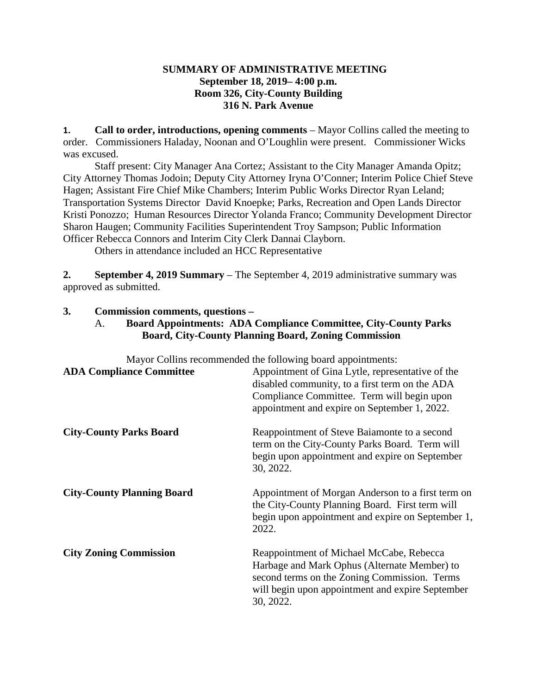# **SUMMARY OF ADMINISTRATIVE MEETING September 18, 2019– 4:00 p.m. Room 326, City-County Building 316 N. Park Avenue**

**1. Call to order, introductions, opening comments** – Mayor Collins called the meeting to order. Commissioners Haladay, Noonan and O'Loughlin were present. Commissioner Wicks was excused.

Staff present: City Manager Ana Cortez; Assistant to the City Manager Amanda Opitz; City Attorney Thomas Jodoin; Deputy City Attorney Iryna O'Conner; Interim Police Chief Steve Hagen; Assistant Fire Chief Mike Chambers; Interim Public Works Director Ryan Leland; Transportation Systems Director David Knoepke; Parks, Recreation and Open Lands Director Kristi Ponozzo; Human Resources Director Yolanda Franco; Community Development Director Sharon Haugen; Community Facilities Superintendent Troy Sampson; Public Information Officer Rebecca Connors and Interim City Clerk Dannai Clayborn.

Others in attendance included an HCC Representative

**2. September 4, 2019 Summary** – The September 4, 2019 administrative summary was approved as submitted.

# **3. Commission comments, questions –**

# A. **Board Appointments: ADA Compliance Committee, City-County Parks Board, City-County Planning Board, Zoning Commission**

Mayor Collins recommended the following board appointments:

| <b>ADA Compliance Committee</b>   | Appointment of Gina Lytle, representative of the<br>disabled community, to a first term on the ADA<br>Compliance Committee. Term will begin upon<br>appointment and expire on September 1, 2022.          |
|-----------------------------------|-----------------------------------------------------------------------------------------------------------------------------------------------------------------------------------------------------------|
| <b>City-County Parks Board</b>    | Reappointment of Steve Baiamonte to a second<br>term on the City-County Parks Board. Term will<br>begin upon appointment and expire on September<br>30, 2022.                                             |
| <b>City-County Planning Board</b> | Appointment of Morgan Anderson to a first term on<br>the City-County Planning Board. First term will<br>begin upon appointment and expire on September 1,<br>2022.                                        |
| <b>City Zoning Commission</b>     | Reappointment of Michael McCabe, Rebecca<br>Harbage and Mark Ophus (Alternate Member) to<br>second terms on the Zoning Commission. Terms<br>will begin upon appointment and expire September<br>30, 2022. |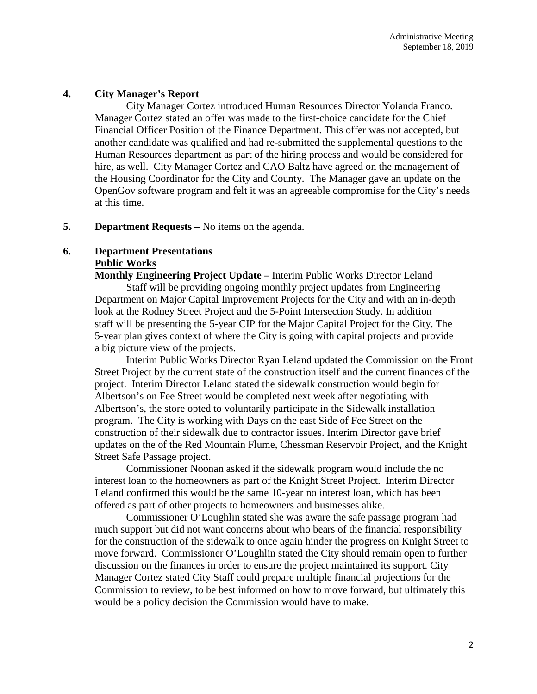### **4. City Manager's Report**

City Manager Cortez introduced Human Resources Director Yolanda Franco. Manager Cortez stated an offer was made to the first-choice candidate for the Chief Financial Officer Position of the Finance Department. This offer was not accepted, but another candidate was qualified and had re-submitted the supplemental questions to the Human Resources department as part of the hiring process and would be considered for hire, as well. City Manager Cortez and CAO Baltz have agreed on the management of the Housing Coordinator for the City and County. The Manager gave an update on the OpenGov software program and felt it was an agreeable compromise for the City's needs at this time.

### **5. Department Requests –** No items on the agenda.

# **6. Department Presentations Public Works**

**Monthly Engineering Project Update –** Interim Public Works Director Leland Staff will be providing ongoing monthly project updates from Engineering Department on Major Capital Improvement Projects for the City and with an in-depth look at the Rodney Street Project and the 5-Point Intersection Study. In addition staff will be presenting the 5-year CIP for the Major Capital Project for the City. The 5-year plan gives context of where the City is going with capital projects and provide a big picture view of the projects.

Interim Public Works Director Ryan Leland updated the Commission on the Front Street Project by the current state of the construction itself and the current finances of the project. Interim Director Leland stated the sidewalk construction would begin for Albertson's on Fee Street would be completed next week after negotiating with Albertson's, the store opted to voluntarily participate in the Sidewalk installation program. The City is working with Days on the east Side of Fee Street on the construction of their sidewalk due to contractor issues. Interim Director gave brief updates on the of the Red Mountain Flume, Chessman Reservoir Project, and the Knight Street Safe Passage project.

Commissioner Noonan asked if the sidewalk program would include the no interest loan to the homeowners as part of the Knight Street Project. Interim Director Leland confirmed this would be the same 10-year no interest loan, which has been offered as part of other projects to homeowners and businesses alike.

Commissioner O'Loughlin stated she was aware the safe passage program had much support but did not want concerns about who bears of the financial responsibility for the construction of the sidewalk to once again hinder the progress on Knight Street to move forward. Commissioner O'Loughlin stated the City should remain open to further discussion on the finances in order to ensure the project maintained its support. City Manager Cortez stated City Staff could prepare multiple financial projections for the Commission to review, to be best informed on how to move forward, but ultimately this would be a policy decision the Commission would have to make.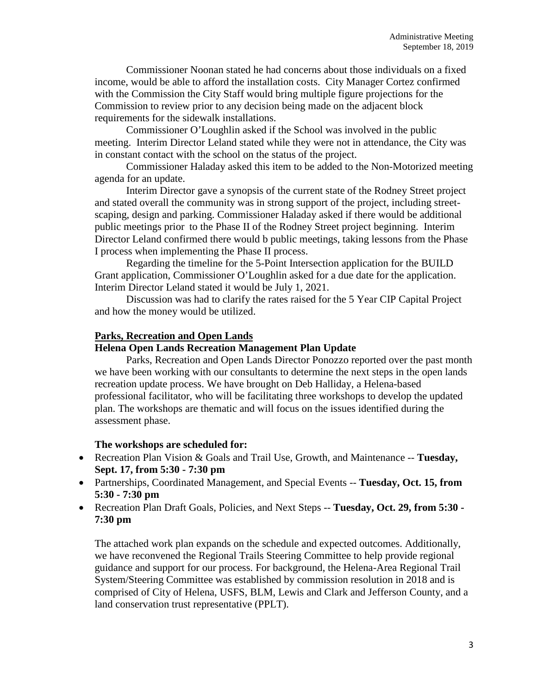Commissioner Noonan stated he had concerns about those individuals on a fixed income, would be able to afford the installation costs. City Manager Cortez confirmed with the Commission the City Staff would bring multiple figure projections for the Commission to review prior to any decision being made on the adjacent block requirements for the sidewalk installations.

Commissioner O'Loughlin asked if the School was involved in the public meeting. Interim Director Leland stated while they were not in attendance, the City was in constant contact with the school on the status of the project.

Commissioner Haladay asked this item to be added to the Non-Motorized meeting agenda for an update.

Interim Director gave a synopsis of the current state of the Rodney Street project and stated overall the community was in strong support of the project, including streetscaping, design and parking. Commissioner Haladay asked if there would be additional public meetings prior to the Phase II of the Rodney Street project beginning. Interim Director Leland confirmed there would b public meetings, taking lessons from the Phase I process when implementing the Phase II process.

Regarding the timeline for the 5-Point Intersection application for the BUILD Grant application, Commissioner O'Loughlin asked for a due date for the application. Interim Director Leland stated it would be July 1, 2021.

Discussion was had to clarify the rates raised for the 5 Year CIP Capital Project and how the money would be utilized.

### **Parks, Recreation and Open Lands**

# **Helena Open Lands Recreation Management Plan Update**

Parks, Recreation and Open Lands Director Ponozzo reported over the past month we have been working with our consultants to determine the next steps in the open lands recreation update process. We have brought on Deb Halliday, a Helena-based professional facilitator, who will be facilitating three workshops to develop the updated plan. The workshops are thematic and will focus on the issues identified during the assessment phase.

### **The workshops are scheduled for:**

- Recreation Plan Vision & Goals and Trail Use, Growth, and Maintenance -- **Tuesday, Sept. 17, from 5:30 - 7:30 pm**
- Partnerships, Coordinated Management, and Special Events -- **Tuesday, Oct. 15, from 5:30 - 7:30 pm**
- Recreation Plan Draft Goals, Policies, and Next Steps -- **Tuesday, Oct. 29, from 5:30 - 7:30 pm**

The attached work plan expands on the schedule and expected outcomes. Additionally, we have reconvened the Regional Trails Steering Committee to help provide regional guidance and support for our process. For background, the Helena-Area Regional Trail System/Steering Committee was established by commission resolution in 2018 and is comprised of City of Helena, USFS, BLM, Lewis and Clark and Jefferson County, and a land conservation trust representative (PPLT).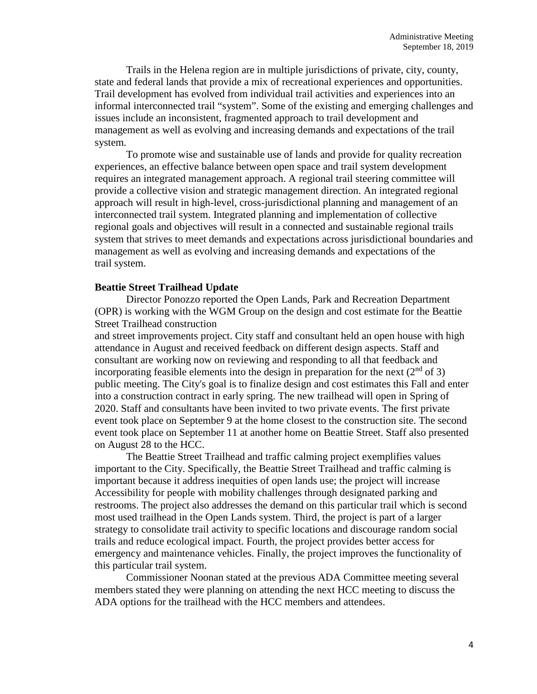Trails in the Helena region are in multiple jurisdictions of private, city, county, state and federal lands that provide a mix of recreational experiences and opportunities. Trail development has evolved from individual trail activities and experiences into an informal interconnected trail "system". Some of the existing and emerging challenges and issues include an inconsistent, fragmented approach to trail development and management as well as evolving and increasing demands and expectations of the trail system.

To promote wise and sustainable use of lands and provide for quality recreation experiences, an effective balance between open space and trail system development requires an integrated management approach. A regional trail steering committee will provide a collective vision and strategic management direction. An integrated regional approach will result in high-level, cross-jurisdictional planning and management of an interconnected trail system. Integrated planning and implementation of collective regional goals and objectives will result in a connected and sustainable regional trails system that strives to meet demands and expectations across jurisdictional boundaries and management as well as evolving and increasing demands and expectations of the trail system.

#### **Beattie Street Trailhead Update**

Director Ponozzo reported the Open Lands, Park and Recreation Department (OPR) is working with the WGM Group on the design and cost estimate for the Beattie Street Trailhead construction

and street improvements project. City staff and consultant held an open house with high attendance in August and received feedback on different design aspects. Staff and consultant are working now on reviewing and responding to all that feedback and incorporating feasible elements into the design in preparation for the next  $(2^{nd}$  of 3) public meeting. The City's goal is to finalize design and cost estimates this Fall and enter into a construction contract in early spring. The new trailhead will open in Spring of 2020. Staff and consultants have been invited to two private events. The first private event took place on September 9 at the home closest to the construction site. The second event took place on September 11 at another home on Beattie Street. Staff also presented on August 28 to the HCC.

The Beattie Street Trailhead and traffic calming project exemplifies values important to the City. Specifically, the Beattie Street Trailhead and traffic calming is important because it address inequities of open lands use; the project will increase Accessibility for people with mobility challenges through designated parking and restrooms. The project also addresses the demand on this particular trail which is second most used trailhead in the Open Lands system. Third, the project is part of a larger strategy to consolidate trail activity to specific locations and discourage random social trails and reduce ecological impact. Fourth, the project provides better access for emergency and maintenance vehicles. Finally, the project improves the functionality of this particular trail system.

Commissioner Noonan stated at the previous ADA Committee meeting several members stated they were planning on attending the next HCC meeting to discuss the ADA options for the trailhead with the HCC members and attendees.